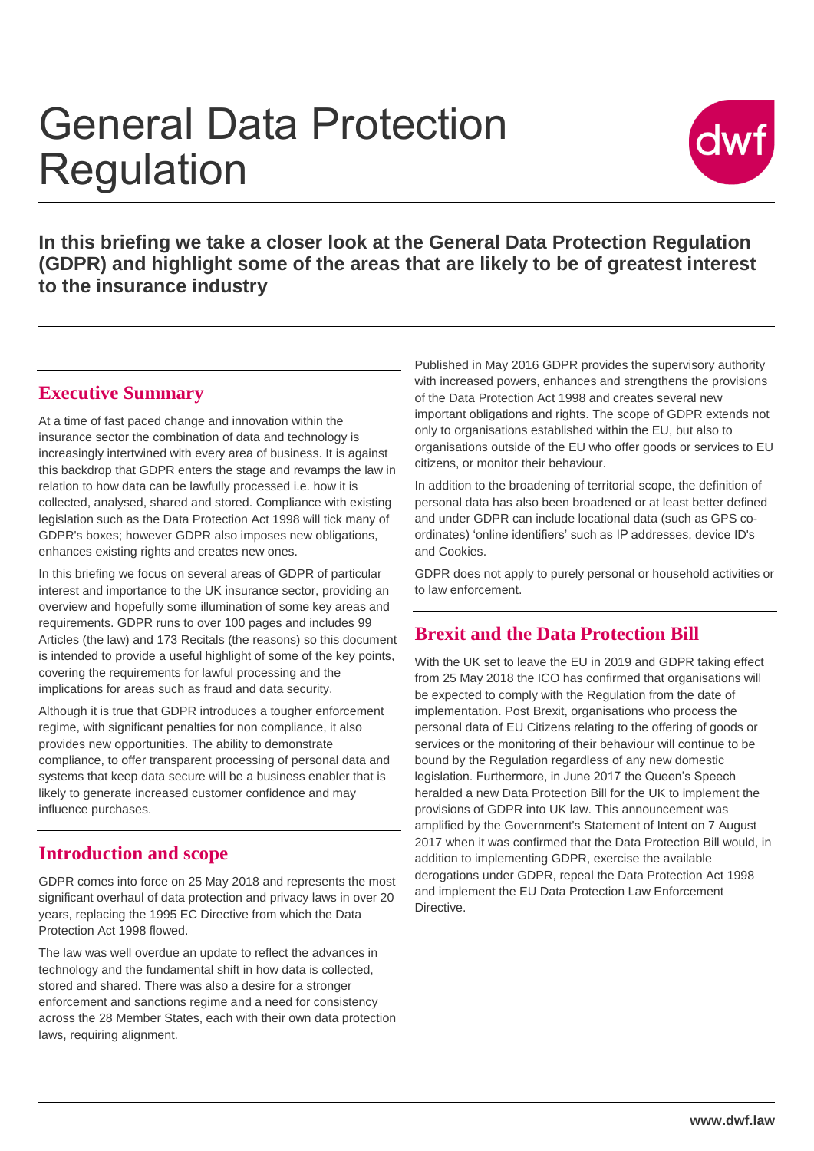# General Data Protection Regulation



**In this briefing we take a closer look at the General Data Protection Regulation (GDPR) and highlight some of the areas that are likely to be of greatest interest to the insurance industry**

## **Executive Summary**

At a time of fast paced change and innovation within the insurance sector the combination of data and technology is increasingly intertwined with every area of business. It is against this backdrop that GDPR enters the stage and revamps the law in relation to how data can be lawfully processed i.e. how it is collected, analysed, shared and stored. Compliance with existing legislation such as the Data Protection Act 1998 will tick many of GDPR's boxes; however GDPR also imposes new obligations, enhances existing rights and creates new ones.

In this briefing we focus on several areas of GDPR of particular interest and importance to the UK insurance sector, providing an overview and hopefully some illumination of some key areas and requirements. GDPR runs to over 100 pages and includes 99 Articles (the law) and 173 Recitals (the reasons) so this document is intended to provide a useful highlight of some of the key points, covering the requirements for lawful processing and the implications for areas such as fraud and data security.

Although it is true that GDPR introduces a tougher enforcement regime, with significant penalties for non compliance, it also provides new opportunities. The ability to demonstrate compliance, to offer transparent processing of personal data and systems that keep data secure will be a business enabler that is likely to generate increased customer confidence and may influence purchases.

# **Introduction and scope**

GDPR comes into force on 25 May 2018 and represents the most significant overhaul of data protection and privacy laws in over 20 years, replacing the 1995 EC Directive from which the Data Protection Act 1998 flowed.

The law was well overdue an update to reflect the advances in technology and the fundamental shift in how data is collected, stored and shared. There was also a desire for a stronger enforcement and sanctions regime and a need for consistency across the 28 Member States, each with their own data protection laws, requiring alignment.

Published in May 2016 GDPR provides the supervisory authority with increased powers, enhances and strengthens the provisions of the Data Protection Act 1998 and creates several new important obligations and rights. The scope of GDPR extends not only to organisations established within the EU, but also to organisations outside of the EU who offer goods or services to EU citizens, or monitor their behaviour.

In addition to the broadening of territorial scope, the definition of personal data has also been broadened or at least better defined and under GDPR can include locational data (such as GPS coordinates) 'online identifiers' such as IP addresses, device ID's and Cookies.

GDPR does not apply to purely personal or household activities or to law enforcement.

## **Brexit and the Data Protection Bill**

With the UK set to leave the EU in 2019 and GDPR taking effect from 25 May 2018 the ICO has confirmed that organisations will be expected to comply with the Regulation from the date of implementation. Post Brexit, organisations who process the personal data of EU Citizens relating to the offering of goods or services or the monitoring of their behaviour will continue to be bound by the Regulation regardless of any new domestic legislation. Furthermore, in June 2017 the Queen's Speech heralded a new Data Protection Bill for the UK to implement the provisions of GDPR into UK law. This announcement was amplified by the Government's Statement of Intent on 7 August 2017 when it was confirmed that the Data Protection Bill would, in addition to implementing GDPR, exercise the available derogations under GDPR, repeal the Data Protection Act 1998 and implement the EU Data Protection Law Enforcement **Directive**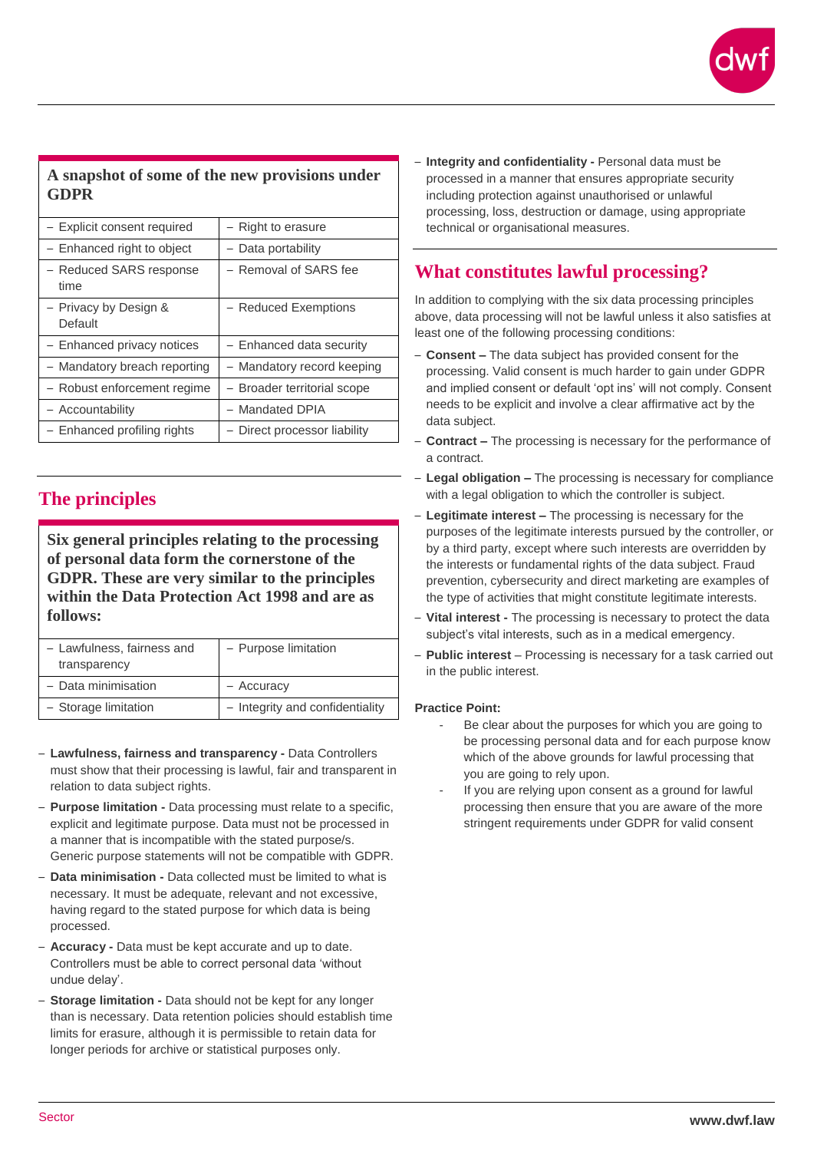

## **A snapshot of some of the new provisions under GDPR**

| - Explicit consent required      | - Right to erasure           |
|----------------------------------|------------------------------|
| - Enhanced right to object       | - Data portability           |
| - Reduced SARS response<br>time  | - Removal of SARS fee        |
| - Privacy by Design &<br>Default | - Reduced Exemptions         |
| - Enhanced privacy notices       | - Enhanced data security     |
| - Mandatory breach reporting     | - Mandatory record keeping   |
| - Robust enforcement regime      | - Broader territorial scope  |
| - Accountability                 | - Mandated DPIA              |
| - Enhanced profiling rights      | - Direct processor liability |

## **The principles**

**Six general principles relating to the processing of personal data form the cornerstone of the GDPR. These are very similar to the principles within the Data Protection Act 1998 and are as follows:**

| - Lawfulness, fairness and<br>transparency | - Purpose limitation            |
|--------------------------------------------|---------------------------------|
| - Data minimisation                        | - Accuracy                      |
| - Storage limitation                       | - Integrity and confidentiality |

- **Lawfulness, fairness and transparency -** Data Controllers must show that their processing is lawful, fair and transparent in relation to data subject rights.
- **Purpose limitation -** Data processing must relate to a specific, explicit and legitimate purpose. Data must not be processed in a manner that is incompatible with the stated purpose/s. Generic purpose statements will not be compatible with GDPR.
- **Data minimisation -** Data collected must be limited to what is necessary. It must be adequate, relevant and not excessive, having regard to the stated purpose for which data is being processed.
- **Accuracy -** Data must be kept accurate and up to date. Controllers must be able to correct personal data 'without undue delay'.
- **Storage limitation -** Data should not be kept for any longer than is necessary. Data retention policies should establish time limits for erasure, although it is permissible to retain data for longer periods for archive or statistical purposes only.

– **Integrity and confidentiality -** Personal data must be processed in a manner that ensures appropriate security including protection against unauthorised or unlawful processing, loss, destruction or damage, using appropriate technical or organisational measures.

# **What constitutes lawful processing?**

In addition to complying with the six data processing principles above, data processing will not be lawful unless it also satisfies at least one of the following processing conditions:

- **Consent –** The data subject has provided consent for the processing. Valid consent is much harder to gain under GDPR and implied consent or default 'opt ins' will not comply. Consent needs to be explicit and involve a clear affirmative act by the data subject.
- **Contract –** The processing is necessary for the performance of a contract.
- **Legal obligation –** The processing is necessary for compliance with a legal obligation to which the controller is subject.
- **Legitimate interest –** The processing is necessary for the purposes of the legitimate interests pursued by the controller, or by a third party, except where such interests are overridden by the interests or fundamental rights of the data subject. Fraud prevention, cybersecurity and direct marketing are examples of the type of activities that might constitute legitimate interests.
- **Vital interest -** The processing is necessary to protect the data subject's vital interests, such as in a medical emergency.
- **Public interest** Processing is necessary for a task carried out in the public interest.

#### **Practice Point:**

- Be clear about the purposes for which you are going to be processing personal data and for each purpose know which of the above grounds for lawful processing that you are going to rely upon.
- If you are relying upon consent as a ground for lawful processing then ensure that you are aware of the more stringent requirements under GDPR for valid consent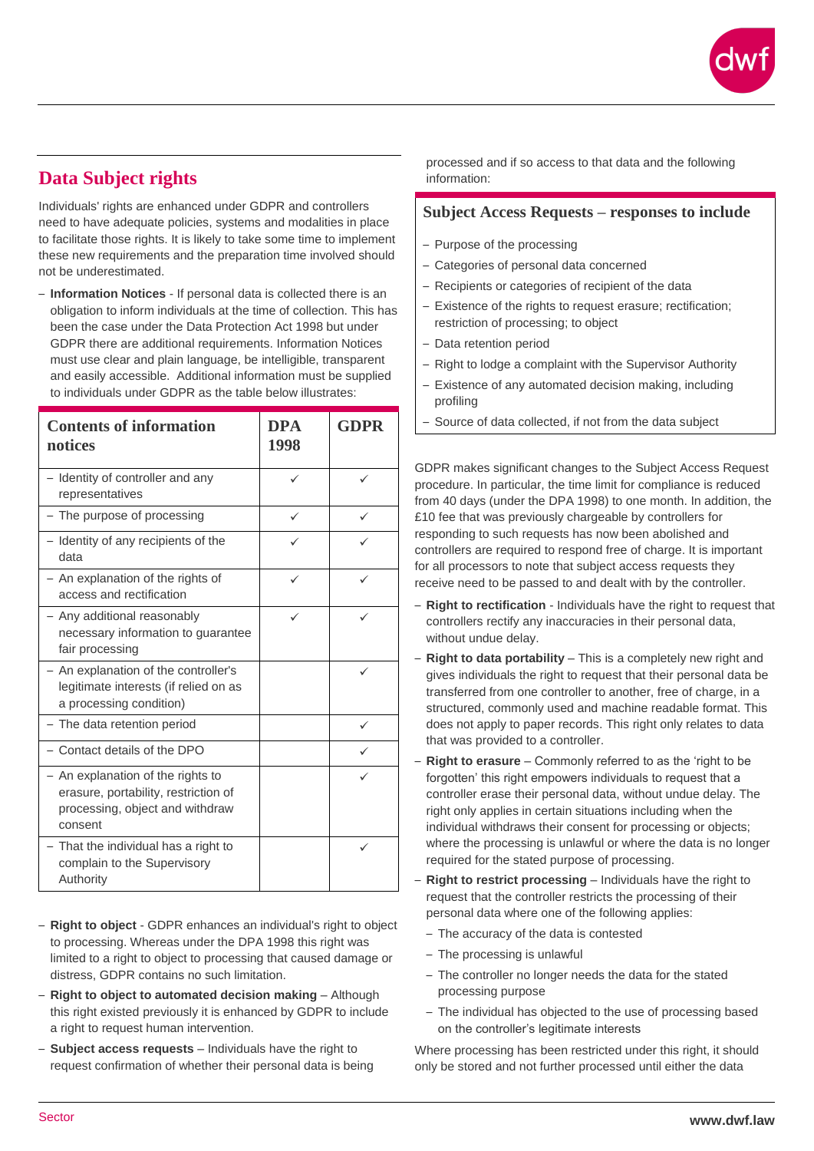

# **Data Subject rights**

Individuals' rights are enhanced under GDPR and controllers need to have adequate policies, systems and modalities in place to facilitate those rights. It is likely to take some time to implement these new requirements and the preparation time involved should not be underestimated.

– **Information Notices** - If personal data is collected there is an obligation to inform individuals at the time of collection. This has been the case under the Data Protection Act 1998 but under GDPR there are additional requirements. Information Notices must use clear and plain language, be intelligible, transparent and easily accessible. Additional information must be supplied to individuals under GDPR as the table below illustrates:

| <b>Contents of information</b><br>notices                                                                             | <b>DPA</b><br>1998 | <b>GDPR</b> |
|-----------------------------------------------------------------------------------------------------------------------|--------------------|-------------|
| - Identity of controller and any<br>representatives                                                                   | ✓                  | ✓           |
| - The purpose of processing                                                                                           | $\checkmark$       | ✓           |
| - Identity of any recipients of the<br>data                                                                           |                    |             |
| - An explanation of the rights of<br>access and rectification                                                         | ✓                  |             |
| - Any additional reasonably<br>necessary information to guarantee<br>fair processing                                  |                    |             |
| - An explanation of the controller's<br>legitimate interests (if relied on as<br>a processing condition)              |                    | ✓           |
| The data retention period                                                                                             |                    |             |
| Contact details of the DPO                                                                                            |                    |             |
| An explanation of the rights to<br>erasure, portability, restriction of<br>processing, object and withdraw<br>consent |                    |             |
| - That the individual has a right to<br>complain to the Supervisory<br>Authority                                      |                    |             |

- **Right to object** GDPR enhances an individual's right to object to processing. Whereas under the DPA 1998 this right was limited to a right to object to processing that caused damage or distress, GDPR contains no such limitation.
- **Right to object to automated decision making** Although this right existed previously it is enhanced by GDPR to include a right to request human intervention.
- **Subject access requests** Individuals have the right to request confirmation of whether their personal data is being

processed and if so access to that data and the following information:

#### **Subject Access Requests – responses to include**

- Purpose of the processing
- Categories of personal data concerned
- Recipients or categories of recipient of the data
- Existence of the rights to request erasure; rectification; restriction of processing; to object
- Data retention period
- Right to lodge a complaint with the Supervisor Authority
- Existence of any automated decision making, including profiling
- Source of data collected, if not from the data subject

GDPR makes significant changes to the Subject Access Request procedure. In particular, the time limit for compliance is reduced from 40 days (under the DPA 1998) to one month. In addition, the £10 fee that was previously chargeable by controllers for responding to such requests has now been abolished and controllers are required to respond free of charge. It is important for all processors to note that subject access requests they receive need to be passed to and dealt with by the controller.

- **Right to rectification** Individuals have the right to request that controllers rectify any inaccuracies in their personal data, without undue delay.
- **Right to data portability** This is a completely new right and gives individuals the right to request that their personal data be transferred from one controller to another, free of charge, in a structured, commonly used and machine readable format. This does not apply to paper records. This right only relates to data that was provided to a controller.
- **Right to erasure** Commonly referred to as the 'right to be forgotten' this right empowers individuals to request that a controller erase their personal data, without undue delay. The right only applies in certain situations including when the individual withdraws their consent for processing or objects; where the processing is unlawful or where the data is no longer required for the stated purpose of processing.
- **Right to restrict processing** Individuals have the right to request that the controller restricts the processing of their personal data where one of the following applies:
	- The accuracy of the data is contested
	- The processing is unlawful
	- The controller no longer needs the data for the stated processing purpose
	- The individual has objected to the use of processing based on the controller's legitimate interests

Where processing has been restricted under this right, it should only be stored and not further processed until either the data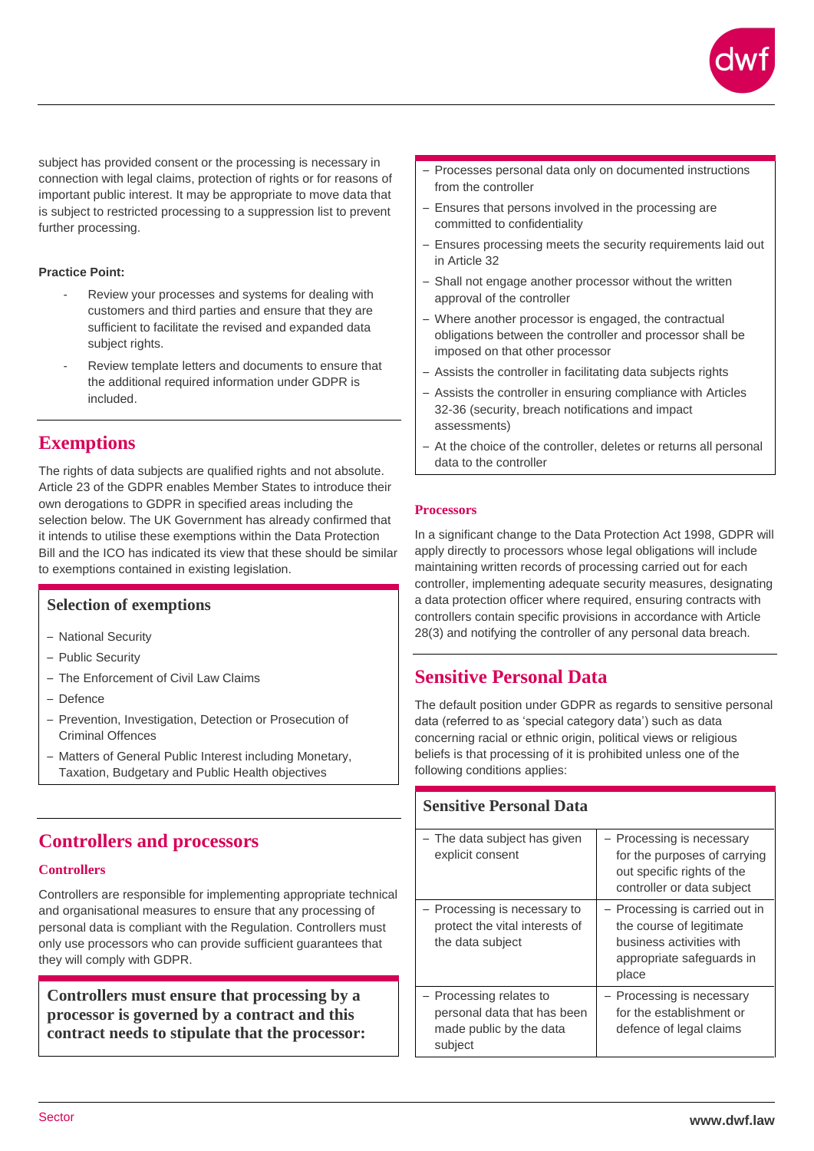

subject has provided consent or the processing is necessary in connection with legal claims, protection of rights or for reasons of important public interest. It may be appropriate to move data that is subject to restricted processing to a suppression list to prevent further processing.

#### **Practice Point:**

- Review your processes and systems for dealing with customers and third parties and ensure that they are sufficient to facilitate the revised and expanded data subject rights.
- Review template letters and documents to ensure that the additional required information under GDPR is included.

## **Exemptions**

The rights of data subjects are qualified rights and not absolute. Article 23 of the GDPR enables Member States to introduce their own derogations to GDPR in specified areas including the selection below. The UK Government has already confirmed that it intends to utilise these exemptions within the Data Protection Bill and the ICO has indicated its view that these should be similar to exemptions contained in existing legislation.

#### **Selection of exemptions**

- National Security
- Public Security
- The Enforcement of Civil Law Claims
- Defence
- Prevention, Investigation, Detection or Prosecution of Criminal Offences
- Matters of General Public Interest including Monetary, Taxation, Budgetary and Public Health objectives

## **Controllers and processors**

#### **Controllers**

Controllers are responsible for implementing appropriate technical and organisational measures to ensure that any processing of personal data is compliant with the Regulation. Controllers must only use processors who can provide sufficient guarantees that they will comply with GDPR.

**Controllers must ensure that processing by a processor is governed by a contract and this contract needs to stipulate that the processor:**

- Processes personal data only on documented instructions from the controller
- Ensures that persons involved in the processing are committed to confidentiality
- Ensures processing meets the security requirements laid out in Article 32
- Shall not engage another processor without the written approval of the controller
- Where another processor is engaged, the contractual obligations between the controller and processor shall be imposed on that other processor
- Assists the controller in facilitating data subjects rights
- Assists the controller in ensuring compliance with Articles 32-36 (security, breach notifications and impact assessments)
- At the choice of the controller, deletes or returns all personal data to the controller

#### **Processors**

In a significant change to the Data Protection Act 1998, GDPR will apply directly to processors whose legal obligations will include maintaining written records of processing carried out for each controller, implementing adequate security measures, designating a data protection officer where required, ensuring contracts with controllers contain specific provisions in accordance with Article 28(3) and notifying the controller of any personal data breach.

## **Sensitive Personal Data**

The default position under GDPR as regards to sensitive personal data (referred to as 'special category data') such as data concerning racial or ethnic origin, political views or religious beliefs is that processing of it is prohibited unless one of the following conditions applies:

## **Sensitive Personal Data**

| - The data subject has given<br>explicit consent                                             | - Processing is necessary<br>for the purposes of carrying<br>out specific rights of the<br>controller or data subject        |
|----------------------------------------------------------------------------------------------|------------------------------------------------------------------------------------------------------------------------------|
| Processing is necessary to<br>protect the vital interests of<br>the data subject             | - Processing is carried out in<br>the course of legitimate<br>business activities with<br>appropriate safeguards in<br>place |
| - Processing relates to<br>personal data that has been<br>made public by the data<br>subject | - Processing is necessary<br>for the establishment or<br>defence of legal claims                                             |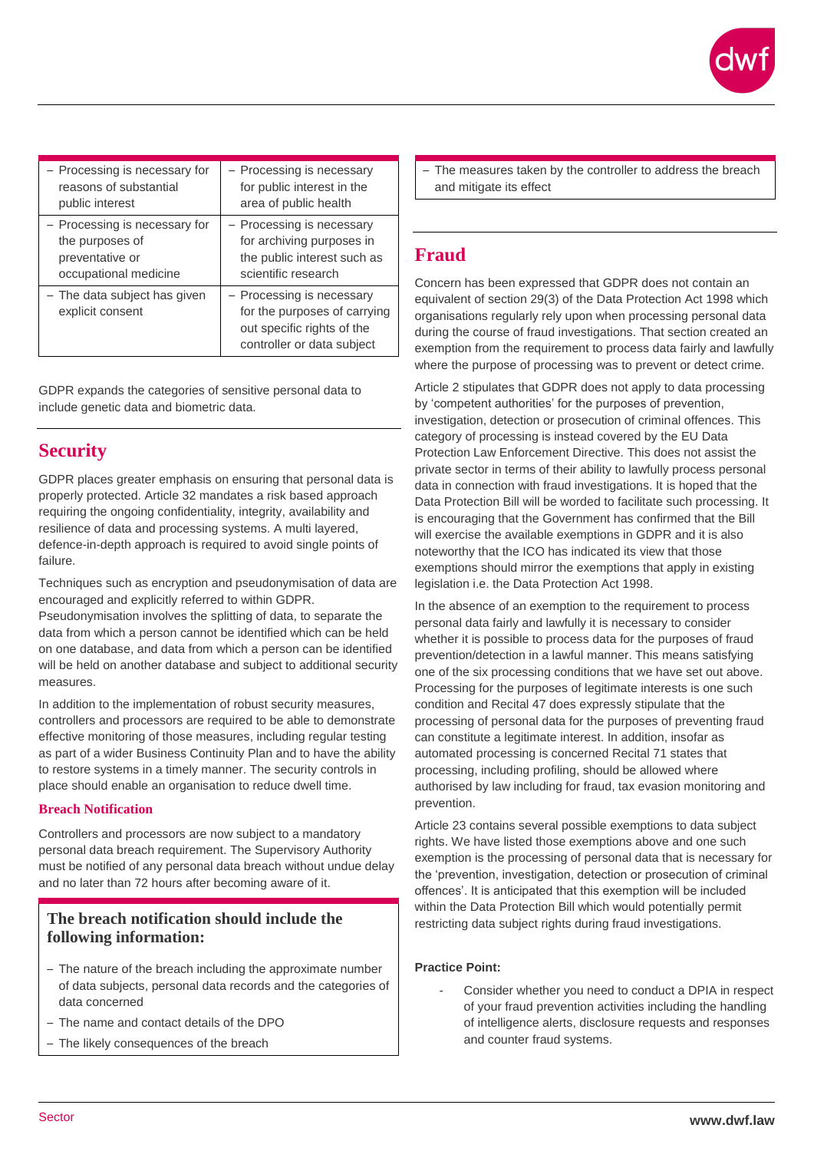| - Processing is necessary for                    | - Processing is necessary                                                                                             |
|--------------------------------------------------|-----------------------------------------------------------------------------------------------------------------------|
| reasons of substantial                           | for public interest in the                                                                                            |
| public interest                                  | area of public health                                                                                                 |
| - Processing is necessary for                    | - Processing is necessary                                                                                             |
| the purposes of                                  | for archiving purposes in                                                                                             |
| preventative or                                  | the public interest such as                                                                                           |
| occupational medicine                            | scientific research                                                                                                   |
| - The data subject has given<br>explicit consent | - Processing is necessary<br>for the purposes of carrying<br>out specific rights of the<br>controller or data subject |

GDPR expands the categories of sensitive personal data to include genetic data and biometric data.

## **Security**

GDPR places greater emphasis on ensuring that personal data is properly protected. Article 32 mandates a risk based approach requiring the ongoing confidentiality, integrity, availability and resilience of data and processing systems. A multi layered, defence-in-depth approach is required to avoid single points of failure.

Techniques such as encryption and pseudonymisation of data are encouraged and explicitly referred to within GDPR. Pseudonymisation involves the splitting of data, to separate the data from which a person cannot be identified which can be held on one database, and data from which a person can be identified will be held on another database and subject to additional security measures.

In addition to the implementation of robust security measures, controllers and processors are required to be able to demonstrate effective monitoring of those measures, including regular testing as part of a wider Business Continuity Plan and to have the ability to restore systems in a timely manner. The security controls in place should enable an organisation to reduce dwell time.

#### **Breach Notification**

Controllers and processors are now subject to a mandatory personal data breach requirement. The Supervisory Authority must be notified of any personal data breach without undue delay and no later than 72 hours after becoming aware of it.

## **The breach notification should include the following information:**

- The nature of the breach including the approximate number of data subjects, personal data records and the categories of data concerned
- The name and contact details of the DPO
- The likely consequences of the breach

– The measures taken by the controller to address the breach and mitigate its effect

## **Fraud**

Concern has been expressed that GDPR does not contain an equivalent of section 29(3) of the Data Protection Act 1998 which organisations regularly rely upon when processing personal data during the course of fraud investigations. That section created an exemption from the requirement to process data fairly and lawfully where the purpose of processing was to prevent or detect crime.

Article 2 stipulates that GDPR does not apply to data processing by 'competent authorities' for the purposes of prevention, investigation, detection or prosecution of criminal offences. This category of processing is instead covered by the EU Data Protection Law Enforcement Directive. This does not assist the private sector in terms of their ability to lawfully process personal data in connection with fraud investigations. It is hoped that the Data Protection Bill will be worded to facilitate such processing. It is encouraging that the Government has confirmed that the Bill will exercise the available exemptions in GDPR and it is also noteworthy that the ICO has indicated its view that those exemptions should mirror the exemptions that apply in existing legislation i.e. the Data Protection Act 1998.

In the absence of an exemption to the requirement to process personal data fairly and lawfully it is necessary to consider whether it is possible to process data for the purposes of fraud prevention/detection in a lawful manner. This means satisfying one of the six processing conditions that we have set out above. Processing for the purposes of legitimate interests is one such condition and Recital 47 does expressly stipulate that the processing of personal data for the purposes of preventing fraud can constitute a legitimate interest. In addition, insofar as automated processing is concerned Recital 71 states that processing, including profiling, should be allowed where authorised by law including for fraud, tax evasion monitoring and prevention.

Article 23 contains several possible exemptions to data subject rights. We have listed those exemptions above and one such exemption is the processing of personal data that is necessary for the 'prevention, investigation, detection or prosecution of criminal offences'. It is anticipated that this exemption will be included within the Data Protection Bill which would potentially permit restricting data subject rights during fraud investigations.

#### **Practice Point:**

Consider whether you need to conduct a DPIA in respect of your fraud prevention activities including the handling of intelligence alerts, disclosure requests and responses and counter fraud systems.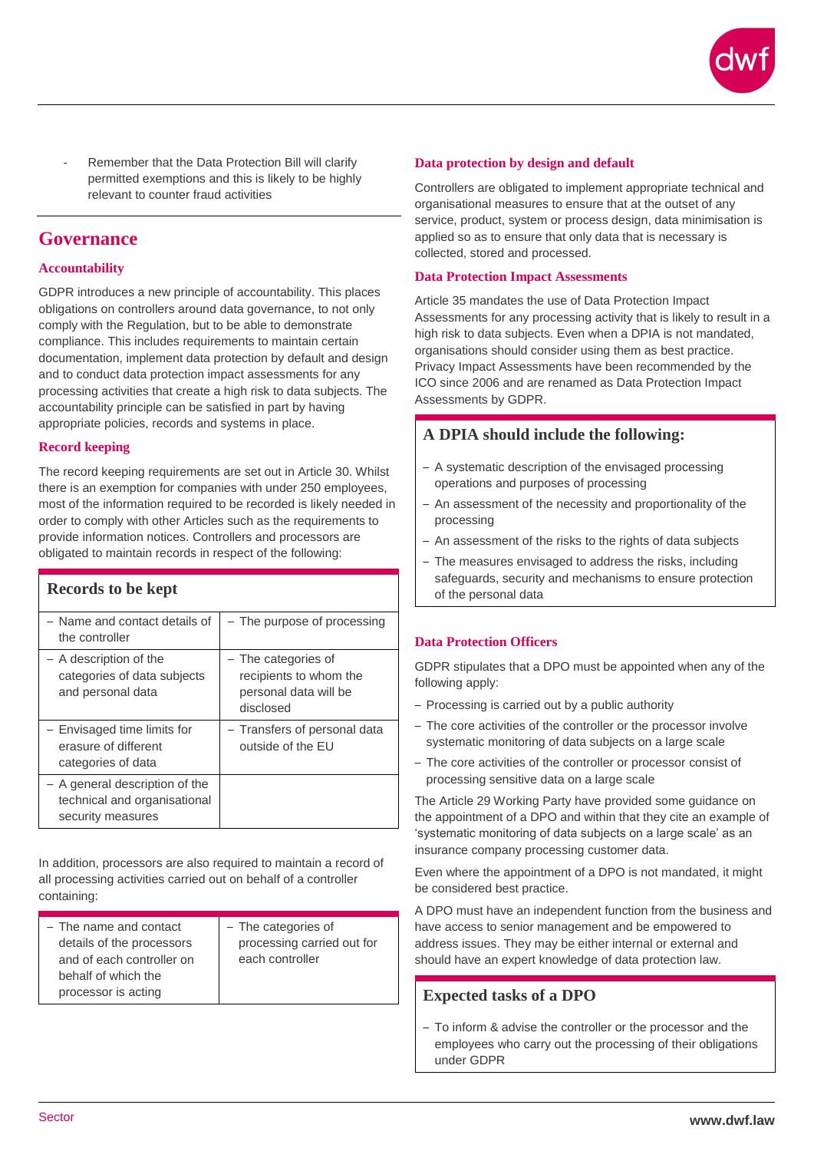

- Remember that the Data Protection Bill will clarify permitted exemptions and this is likely to be highly relevant to counter fraud activities

## **Governance**

#### **Accountability**

GDPR introduces a new principle of accountability. This places obligations on controllers around data governance, to not only comply with the Regulation, but to be able to demonstrate compliance. This includes requirements to maintain certain documentation, implement data protection by default and design and to conduct data protection impact assessments for any processing activities that create a high risk to data subjects. The accountability principle can be satisfied in part by having appropriate policies, records and systems in place.

#### **Record keeping**

The record keeping requirements are set out in Article 30. Whilst there is an exemption for companies with under 250 employees, most of the information required to be recorded is likely needed in order to comply with other Articles such as the requirements to provide information notices. Controllers and processors are obligated to maintain records in respect of the following:

| Records to be kept                                                                  |                                                                                     |
|-------------------------------------------------------------------------------------|-------------------------------------------------------------------------------------|
| - Name and contact details of<br>the controller                                     | - The purpose of processing                                                         |
| - A description of the<br>categories of data subjects<br>and personal data          | - The categories of<br>recipients to whom the<br>personal data will be<br>disclosed |
| - Envisaged time limits for<br>erasure of different<br>categories of data           | - Transfers of personal data<br>outside of the FU                                   |
| - A general description of the<br>technical and organisational<br>security measures |                                                                                     |

In addition, processors are also required to maintain a record of all processing activities carried out on behalf of a controller containing:

| - The name and contact    | - The categories of        |
|---------------------------|----------------------------|
| details of the processors | processing carried out for |
| and of each controller on | each controller            |
| behalf of which the       |                            |
| processor is acting       |                            |

#### **Data protection by design and default**

Controllers are obligated to implement appropriate technical and organisational measures to ensure that at the outset of any service, product, system or process design, data minimisation is applied so as to ensure that only data that is necessary is collected, stored and processed.

#### **Data Protection Impact Assessments**

Article 35 mandates the use of Data Protection Impact Assessments for any processing activity that is likely to result in a high risk to data subjects. Even when a DPIA is not mandated, organisations should consider using them as best practice. Privacy Impact Assessments have been recommended by the ICO since 2006 and are renamed as Data Protection Impact Assessments by GDPR.

#### **A DPIA should include the following:**

- A systematic description of the envisaged processing operations and purposes of processing
- An assessment of the necessity and proportionality of the processing
- An assessment of the risks to the rights of data subjects
- The measures envisaged to address the risks, including safeguards, security and mechanisms to ensure protection of the personal data

#### **Data Protection Officers**

GDPR stipulates that a DPO must be appointed when any of the following apply:

- Processing is carried out by a public authority
- The core activities of the controller or the processor involve systematic monitoring of data subjects on a large scale
- The core activities of the controller or processor consist of processing sensitive data on a large scale

The Article 29 Working Party have provided some guidance on the appointment of a DPO and within that they cite an example of 'systematic monitoring of data subjects on a large scale' as an insurance company processing customer data.

Even where the appointment of a DPO is not mandated, it might be considered best practice.

A DPO must have an independent function from the business and have access to senior management and be empowered to address issues. They may be either internal or external and should have an expert knowledge of data protection law.

#### **Expected tasks of a DPO**

– To inform & advise the controller or the processor and the employees who carry out the processing of their obligations under GDPR